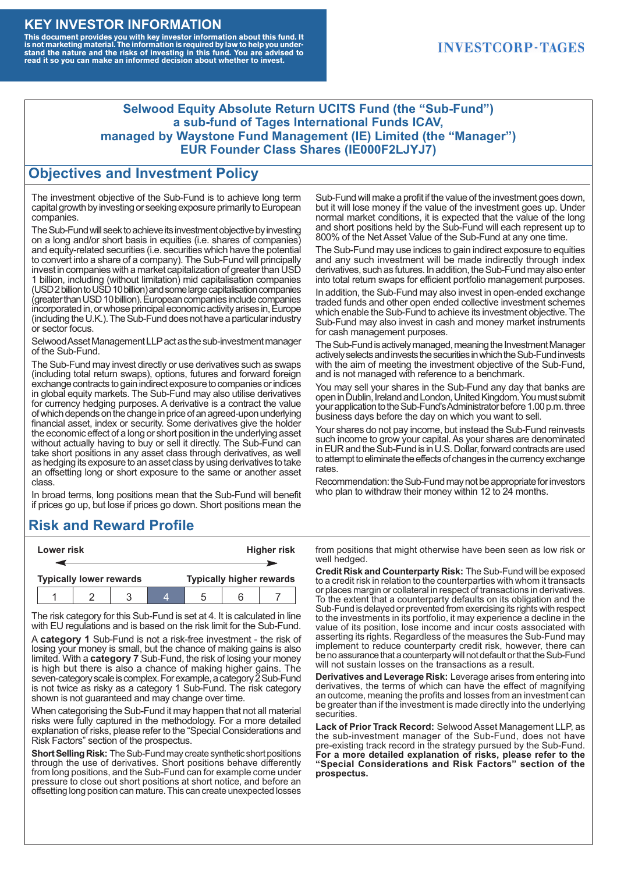#### **KEY INVESTOR INFORMATION**

This document provides you with key investor information about this fund. It<br>is not marketing material. The information is required by law to help you under-<br>stand the nature and the risks of investing in this fund. You ar

### **INVESTCORP-TAGES**

#### **Selwood Equity Absolute Return UCITS Fund (the "Sub-Fund") a sub-fund of Tages International Funds ICAV, managed by Waystone Fund Management (IE) Limited (the "Manager") EUR Founder Class Shares (IE000F2LJYJ7)**

#### **Objectives and Investment Policy**

The investment objective of the Sub-Fund is to achieve long term capital growth by investing or seeking exposure primarily to European companies.

The Sub-Fund will seek to achieve its investment objective by investing on a long and/or short basis in equities (i.e. shares of companies) and equity-related securities (i.e. securities which have the potential to convert into a share of a company). The Sub-Fund will principally invest in companies with a market capitalization of greater than USD 1 billion, including (without limitation) mid capitalisation companies (USD 2 billion to USD 10 billion) and some large capitalisation companies (greaterthanUSD10billion).European companiesinclude companies incorporated in, or whose principal economic activity arises in, Europe (including the U.K.). The Sub-Fund does not have a particular industry or sector focus.

Selwood Asset Management LLP act as the sub-investment manager of the Sub-Fund.

The Sub-Fund may invest directly or use derivatives such as swaps (including total return swaps), options, futures and forward foreign exchange contracts to gain indirect exposure to companies or indices in global equity markets. The Sub-Fund may also utilise derivatives for currency hedging purposes. A derivative is a contract the value of which depends on the change in price of an agreed-upon underlying financial asset, index or security. Some derivatives give the holder the economic effect of a long or short position in the underlying asset without actually having to buy or sell it directly. The Sub-Fund can take short positions in any asset class through derivatives, as well as hedging its exposure to an asset class by using derivatives to take an offsetting long or short exposure to the same or another asset class.

In broad terms, long positions mean that the Sub-Fund will benefit if prices go up, but lose if prices go down. Short positions mean the

# **Risk and Reward Profile**

|                                | Lower risk |  |  | <b>Higher risk</b>              |  |  |
|--------------------------------|------------|--|--|---------------------------------|--|--|
|                                |            |  |  |                                 |  |  |
| <b>Typically lower rewards</b> |            |  |  | <b>Typically higher rewards</b> |  |  |
|                                |            |  |  | :5                              |  |  |

The risk category for this Sub-Fund is set at 4. It is calculated in line with EU regulations and is based on the risk limit for the Sub-Fund.

A **category 1** Sub-Fund is not a risk-free investment - the risk of losing your money is small, but the chance of making gains is also limited. With a **category 7** Sub-Fund, the risk of losing your money is high but there is also a chance of making higher gains. The seven-category scale is complex. For example, a category 2 Sub-Fund is not twice as risky as a category 1 Sub-Fund. The risk category shown is not guaranteed and may change over time.

When categorising the Sub-Fund it may happen that not all material risks were fully captured in the methodology. For a more detailed explanation of risks, please refer to the "Special Considerations and Risk Factors" section of the prospectus.

**Short Selling Risk:** The Sub-Fund may create synthetic short positions through the use of derivatives. Short positions behave differently from long positions, and the Sub-Fund can for example come under pressure to close out short positions at short notice, and before an offsetting long position can mature. This can create unexpected losses

Sub-Fund will make a profit if the value of the investment goes down, but it will lose money if the value of the investment goes up. Under normal market conditions, it is expected that the value of the long and short positions held by the Sub-Fund will each represent up to 800% of the Net Asset Value of the Sub-Fund at any one time.

The Sub-Fund may use indices to gain indirect exposure to equities and any such investment will be made indirectly through index derivatives, such as futures. In addition, the Sub-Fund may also enter into total return swaps for efficient portfolio management purposes.

In addition, the Sub-Fund may also invest in open-ended exchange traded funds and other open ended collective investment schemes which enable the Sub-Fund to achieve its investment objective. The Sub-Fund may also invest in cash and money market instruments for cash management purposes.

The Sub-Fund is actively managed, meaning the Investment Manager actively selects and invests the securities in which the Sub-Fund invests with the aim of meeting the investment objective of the Sub-Fund, and is not managed with reference to a benchmark.

You may sell your shares in the Sub-Fund any day that banks are open in Dublin, Ireland and London, United Kingdom. You must submit your application to the Sub-Fund's Administrator before 1.00 p.m. three business days before the day on which you want to sell.

Your shares do not pay income, but instead the Sub-Fund reinvests such income to grow your capital. As your shares are denominated in EUR and the Sub-Fund is in U.S. Dollar, forward contracts are used to attempt to eliminate the effects of changes in the currency exchange rates.

Recommendation: the Sub-Fund may not be appropriate for investors who plan to withdraw their money within 12 to 24 months.

from positions that might otherwise have been seen as low risk or well hedged.

**Credit Risk and Counterparty Risk:** The Sub-Fund will be exposed to a credit risk in relation to the counterparties with whom it transacts or places margin or collateral in respect of transactions in derivatives. To the extent that a counterparty defaults on its obligation and the Sub-Fund is delayed or prevented from exercising its rights with respect to the investments in its portfolio, it may experience a decline in the value of its position, lose income and incur costs associated with asserting its rights. Regardless of the measures the Sub-Fund may implement to reduce counterparty credit risk, however, there can be no assurance that a counterparty will not default or that the Sub-Fund will not sustain losses on the transactions as a result.

**Derivatives and Leverage Risk:** Leverage arises from entering into derivatives, the terms of which can have the effect of magnifying an outcome, meaning the profits and losses from an investment can be greater than if the investment is made directly into the underlying **securities**.

**Lack of Prior Track Record:** Selwood Asset Management LLP, as the sub-investment manager of the Sub-Fund, does not have pre-existing track record in the strategy pursued by the Sub-Fund. **For a more detailed explanation of risks, please refer to the "Special Considerations and Risk Factors" section of the prospectus.**